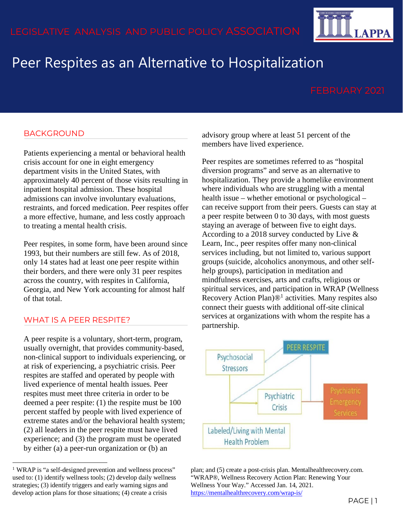# Peer Respites as an Alternative to Hospitalization

**APPA** 

# BACKGROUND

Patients experiencing a mental or behavioral health crisis account for one in eight emergency department visits in the United States, with approximately 40 percent of those visits resulting in inpatient hospital admission. These hospital admissions can involve involuntary evaluations, restraints, and forced medication. Peer respites offer a more effective, humane, and less costly approach to treating a mental health crisis.

Peer respites, in some form, have been around since 1993, but their numbers are still few. As of 2018, only 14 states had at least one peer respite within their borders, and there were only 31 peer respites across the country, with respites in California, Georgia, and New York accounting for almost half of that total.

### WHAT IS A PEER RESPITE?

A peer respite is a voluntary, short-term, program, usually overnight, that provides community-based, non-clinical support to individuals experiencing, or at risk of experiencing, a psychiatric crisis. Peer respites are staffed and operated by people with lived experience of mental health issues. Peer respites must meet three criteria in order to be deemed a peer respite: (1) the respite must be 100 percent staffed by people with lived experience of extreme states and/or the behavioral health system; (2) all leaders in the peer respite must have lived experience; and (3) the program must be operated by either (a) a peer-run organization or (b) an

<span id="page-0-0"></span><sup>1</sup> WRAP is "a self-designed prevention and wellness process" used to: (1) identify wellness tools; (2) develop daily wellness strategies; (3) identify triggers and early warning signs and develop action plans for those situations; (4) create a crisis

advisory group where at least 51 percent of the members have lived experience.

Peer respites are sometimes referred to as "hospital diversion programs" and serve as an alternative to hospitalization. They provide a homelike environment where individuals who are struggling with a mental health issue – whether emotional or psychological – can receive support from their peers. Guests can stay at a peer respite between 0 to 30 days, with most guests staying an average of between five to eight days. According to a 2018 survey conducted by Live & Learn, Inc., peer respites offer many non-clinical services including, but not limited to, various support groups (suicide, alcoholics anonymous, and other selfhelp groups), participation in meditation and mindfulness exercises, arts and crafts, religious or spiritual services, and participation in WRAP (Wellness Recovery Action Plan) $\mathbb{D}^1$  $\mathbb{D}^1$  activities. Many respites also connect their guests with additional off-site clinical services at organizations with whom the respite has a partnership.



plan; and (5) create a post-crisis plan. Mentalhealthrecovery.com. "WRAP®, Wellness Recovery Action Plan: Renewing Your Wellness Your Way." Accessed Jan. 14, 2021. <https://mentalhealthrecovery.com/wrap-is/>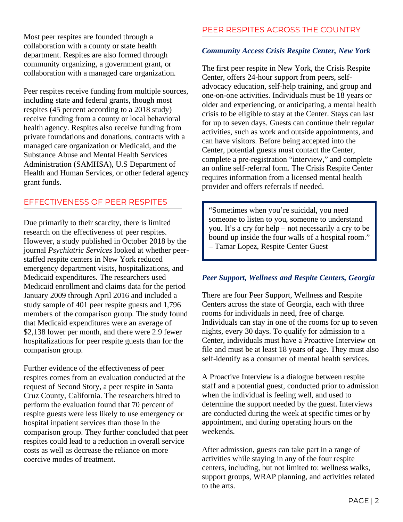Most peer respites are founded through a collaboration with a county or state health department. Respites are also formed through community organizing, a government grant, or collaboration with a managed care organization.

Peer respites receive funding from multiple sources, including state and federal grants, though most respites (45 percent according to a 2018 study) receive funding from a county or local behavioral health agency. Respites also receive funding from private foundations and donations, contracts with a managed care organization or Medicaid, and the Substance Abuse and Mental Health Services Administration (SAMHSA), U.S Department of Health and Human Services, or other federal agency grant funds.

## EFFECTIVENESS OF PEER RESPITES

Due primarily to their scarcity, there is limited research on the effectiveness of peer respites. However, a study published in October 2018 by the journal *Psychiatric Services* looked at whether peerstaffed respite centers in New York reduced emergency department visits, hospitalizations, and Medicaid expenditures. The researchers used Medicaid enrollment and claims data for the period January 2009 through April 2016 and included a study sample of 401 peer respite guests and 1,796 members of the comparison group. The study found that Medicaid expenditures were an average of \$2,138 lower per month, and there were 2.9 fewer hospitalizations for peer respite guests than for the comparison group.

Further evidence of the effectiveness of peer respites comes from an evaluation conducted at the request of Second Story, a peer respite in Santa Cruz County, California. The researchers hired to perform the evaluation found that 70 percent of respite guests were less likely to use emergency or hospital inpatient services than those in the comparison group. They further concluded that peer respites could lead to a reduction in overall service costs as well as decrease the reliance on more coercive modes of treatment.

# PEER RESPITES ACROSS THE COUNTRY

### *Community Access Crisis Respite Center, New York*

The first peer respite in New York, the Crisis Respite Center, offers 24-hour support from peers, selfadvocacy education, self-help training, and group and one-on-one activities. Individuals must be 18 years or older and experiencing, or anticipating, a mental health crisis to be eligible to stay at the Center. Stays can last for up to seven days. Guests can continue their regular activities, such as work and outside appointments, and can have visitors. Before being accepted into the Center, potential guests must contact the Center, complete a pre-registration "interview," and complete an online self-referral form. The Crisis Respite Center requires information from a licensed mental health provider and offers referrals if needed.

"Sometimes when you're suicidal, you need someone to listen to you, someone to understand you. It's a cry for help – not necessarily a cry to be bound up inside the four walls of a hospital room." – Tamar Lopez, Respite Center Guest

#### *Peer Support, Wellness and Respite Centers, Georgia*

There are four Peer Support, Wellness and Respite Centers across the state of Georgia, each with three rooms for individuals in need, free of charge. Individuals can stay in one of the rooms for up to seven nights, every 30 days. To qualify for admission to a Center, individuals must have a Proactive Interview on file and must be at least 18 years of age. They must also self-identify as a consumer of mental health services.

A Proactive Interview is a dialogue between respite staff and a potential guest, conducted prior to admission when the individual is feeling well, and used to determine the support needed by the guest. Interviews are conducted during the week at specific times or by appointment, and during operating hours on the weekends.

After admission, guests can take part in a range of activities while staying in any of the four respite centers, including, but not limited to: wellness walks, support groups, WRAP planning, and activities related to the arts.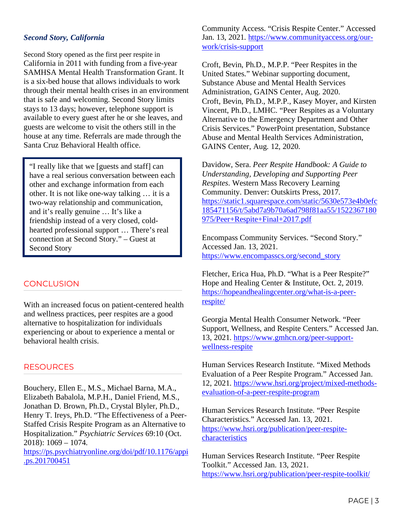### *Second Story, California*

Second Story opened as the first peer respite in California in 2011 with funding from a five-year SAMHSA Mental Health Transformation Grant. It is a six-bed house that allows individuals to work through their mental health crises in an environment that is safe and welcoming. Second Story limits stays to 13 days; however, telephone support is available to every guest after he or she leaves, and guests are welcome to visit the others still in the house at any time. Referrals are made through the Santa Cruz Behavioral Health office.

"I really like that we [guests and staff] can have a real serious conversation between each other and exchange information from each other. It is not like one-way talking … it is a two-way relationship and communication, and it's really genuine … It's like a friendship instead of a very closed, coldhearted professional support … There's real connection at Second Story." – Guest at Second Story

### **CONCLUSION**

With an increased focus on patient-centered health and wellness practices, peer respites are a good alternative to hospitalization for individuals experiencing or about to experience a mental or behavioral health crisis.

#### RESOURCES

Bouchery, Ellen E., M.S., Michael Barna, M.A., Elizabeth Babalola, M.P.H., Daniel Friend, M.S., Jonathan D. Brown, Ph.D., Crystal Blyler, Ph.D., Henry T. Ireys, Ph.D. "The Effectiveness of a Peer-Staffed Crisis Respite Program as an Alternative to Hospitalization." *Psychiatric Services* 69:10 (Oct. 2018): 1069 – 1074.

[https://ps.psychiatryonline.org/doi/pdf/10.1176/appi](https://ps.psychiatryonline.org/doi/pdf/10.1176/appi.ps.201700451) [.ps.201700451](https://ps.psychiatryonline.org/doi/pdf/10.1176/appi.ps.201700451)

Community Access. "Crisis Respite Center." Accessed Jan. 13, 2021. [https://www.communityaccess.org/our](https://www.communityaccess.org/our-work/crisis-support)[work/crisis-support](https://www.communityaccess.org/our-work/crisis-support)

Croft, Bevin, Ph.D., M.P.P. "Peer Respites in the United States." Webinar supporting document, Substance Abuse and Mental Health Services Administration, GAINS Center, Aug. 2020. Croft, Bevin, Ph.D., M.P.P., Kasey Moyer, and Kirsten Vincent, Ph.D., LMHC. "Peer Respites as a Voluntary Alternative to the Emergency Department and Other Crisis Services." PowerPoint presentation, Substance Abuse and Mental Health Services Administration, GAINS Center, Aug. 12, 2020.

Davidow, Sera. *Peer Respite Handbook: A Guide to Understanding, Developing and Supporting Peer Respites*. Western Mass Recovery Learning Community. Denver: Outskirts Press, 2017. [https://static1.squarespace.com/static/5630e573e4b0efc](https://static1.squarespace.com/static/5630e573e4b0efc185471156/t/5abd7a9b70a6ad798f81aa55/1522367180975/Peer+Respite+Final+2017.pdf) [185471156/t/5abd7a9b70a6ad798f81aa55/1522367180](https://static1.squarespace.com/static/5630e573e4b0efc185471156/t/5abd7a9b70a6ad798f81aa55/1522367180975/Peer+Respite+Final+2017.pdf) [975/Peer+Respite+Final+2017.pdf](https://static1.squarespace.com/static/5630e573e4b0efc185471156/t/5abd7a9b70a6ad798f81aa55/1522367180975/Peer+Respite+Final+2017.pdf)

Encompass Community Services. "Second Story." Accessed Jan. 13, 2021. [https://www.encompasscs.org/second\\_story](https://www.encompasscs.org/second_story)

Fletcher, Erica Hua, Ph.D. "What is a Peer Respite?" Hope and Healing Center & Institute, Oct. 2, 2019. [https://hopeandhealingcenter.org/what-is-a-peer](https://hopeandhealingcenter.org/what-is-a-peer-respite/)[respite/](https://hopeandhealingcenter.org/what-is-a-peer-respite/)

Georgia Mental Health Consumer Network. "Peer Support, Wellness, and Respite Centers." Accessed Jan. 13, 2021. [https://www.gmhcn.org/peer-support](https://www.gmhcn.org/peer-support-wellness-respite)[wellness-respite](https://www.gmhcn.org/peer-support-wellness-respite)

Human Services Research Institute. "Mixed Methods Evaluation of a Peer Respite Program." Accessed Jan. 12, 2021. [https://www.hsri.org/project/mixed-methods](https://www.hsri.org/project/mixed-methods-evaluation-of-a-peer-respite-program)[evaluation-of-a-peer-respite-program](https://www.hsri.org/project/mixed-methods-evaluation-of-a-peer-respite-program)

Human Services Research Institute. "Peer Respite Characteristics." Accessed Jan. 13, 2021. [https://www.hsri.org/publication/peer-respite](https://www.hsri.org/publication/peer-respite-characteristics)[characteristics](https://www.hsri.org/publication/peer-respite-characteristics)

Human Services Research Institute. "Peer Respite Toolkit." Accessed Jan. 13, 2021. <https://www.hsri.org/publication/peer-respite-toolkit/>